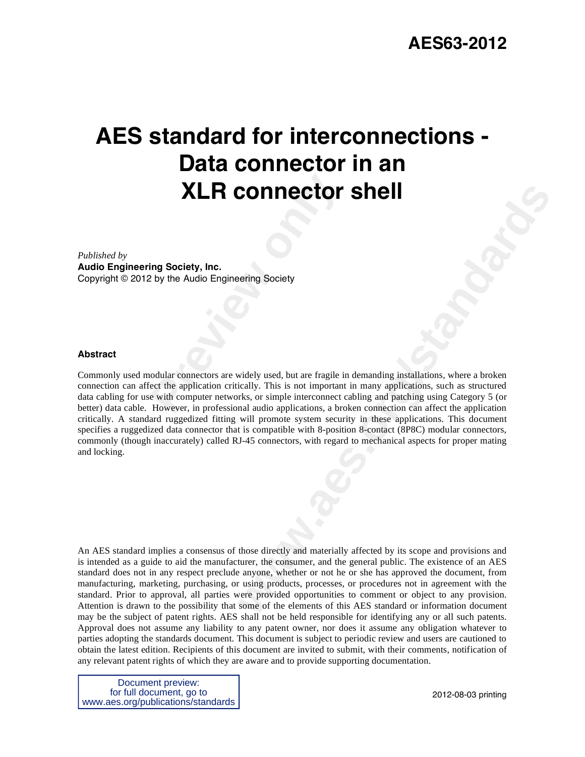# **AES standard for interconnections - Data connector in an XLR connector shell**

*Published by* 

**Audio Engineering Society, Inc.** Copyright © 2012 by the Audio Engineering Society

#### **Abstract**

**Profiled By Society, Inc.<br>
Preview, Inc.<br>
Preview Audio Engineering Society<br>
Preview Audio Engineering Society<br>
Preview Audio Engineering Society<br>
Preview Audio Engineering J. This is not important<br>
Preview Audio Applicat COMPECT SHE II**<br>
specify used, but are fragite in demanding installations, where a broken<br>
related the sort important in many applications, such as structured<br>
relates, or simple interconnect cabling and pataching using C Commonly used modular connectors are widely used, but are fragile in demanding installations, where a broken connection can affect the application critically. This is not important in many applications, such as structured data cabling for use with computer networks, or simple interconnect cabling and patching using Category 5 (or better) data cable. However, in professional audio applications, a broken connection can affect the application critically. A standard ruggedized fitting will promote system security in these applications. This document specifies a ruggedized data connector that is compatible with 8-position 8-contact (8P8C) modular connectors, commonly (though inaccurately) called RJ-45 connectors, with regard to mechanical aspects for proper mating and locking.

An AES standard implies a consensus of those directly and materially affected by its scope and provisions and is intended as a guide to aid the manufacturer, the consumer, and the general public. The existence of an AES standard does not in any respect preclude anyone, whether or not he or she has approved the document, from manufacturing, marketing, purchasing, or using products, processes, or procedures not in agreement with the standard. Prior to approval, all parties were provided opportunities to comment or object to any provision. Attention is drawn to the possibility that some of the elements of this AES standard or information document may be the subject of patent rights. AES shall not be held responsible for identifying any or all such patents. Approval does not assume any liability to any patent owner, nor does it assume any obligation whatever to parties adopting the standards document. This document is subject to periodic review and users are cautioned to obtain the latest edition. Recipients of this document are invited to submit, with their comments, notification of any relevant patent rights of which they are aware and to provide supporting documentation.

Document preview: for full document, go to www.aes.org/publications/standards

2012-08-03 printing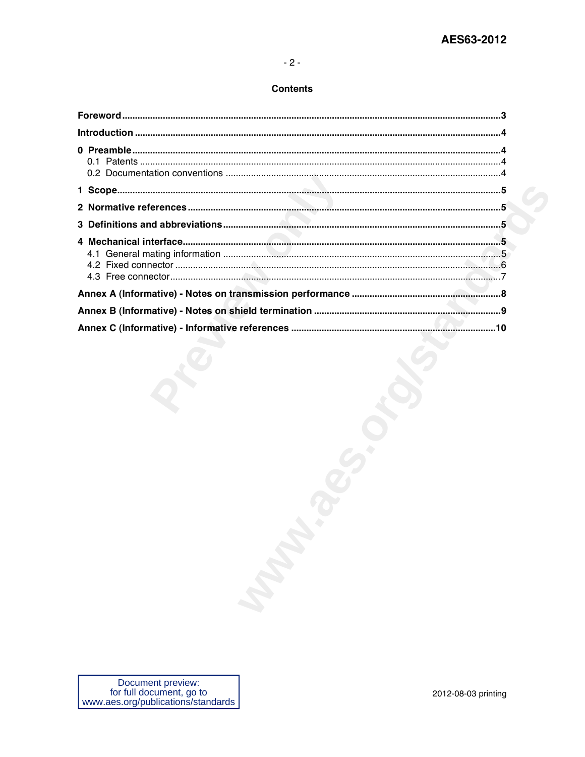#### **Contents**

| <b>Manda</b> |
|--------------|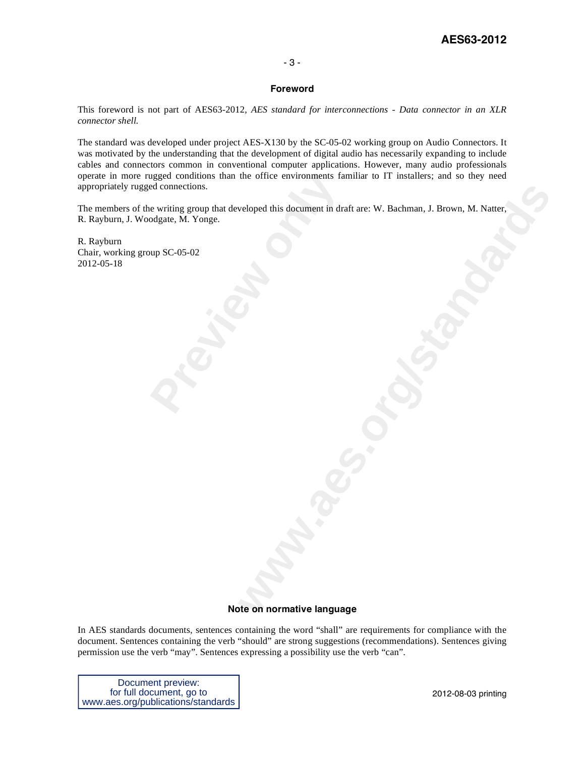#### - 3 -

#### **Foreword**

This foreword is not part of AES63-2012, *AES standard for interconnections - Data connector in an XLR connector shell.* 

The standard was developed under project AES-X130 by the SC-05-02 working group on Audio Connectors. It was motivated by the understanding that the development of digital audio has necessarily expanding to include cables and connectors common in conventional computer applications. However, many audio professionals operate in more rugged conditions than the office environments familiar to IT installers; and so they need appropriately rugged connections.

gged conditions than the office environments fa<br>ed connections.<br>e writing group that developed this document in dra<br>odgate, M. Yonge.<br>up SC-05-02 weloped this document in draft are: W. Bachman, J. Brown, M. Natter, The members of the writing group that developed this document in draft are: W. Bachman, J. Brown, M. Natter, R. Rayburn, J. Woodgate, M. Yonge.

R. Rayburn Chair, working group SC-05-02 2012-05-18

#### **Note on normative language**

In AES standards documents, sentences containing the word "shall" are requirements for compliance with the document. Sentences containing the verb "should" are strong suggestions (recommendations). Sentences giving permission use the verb "may". Sentences expressing a possibility use the verb "can".

Document preview: for full document, go to www.aes.org/publications/standards

2012-08-03 printing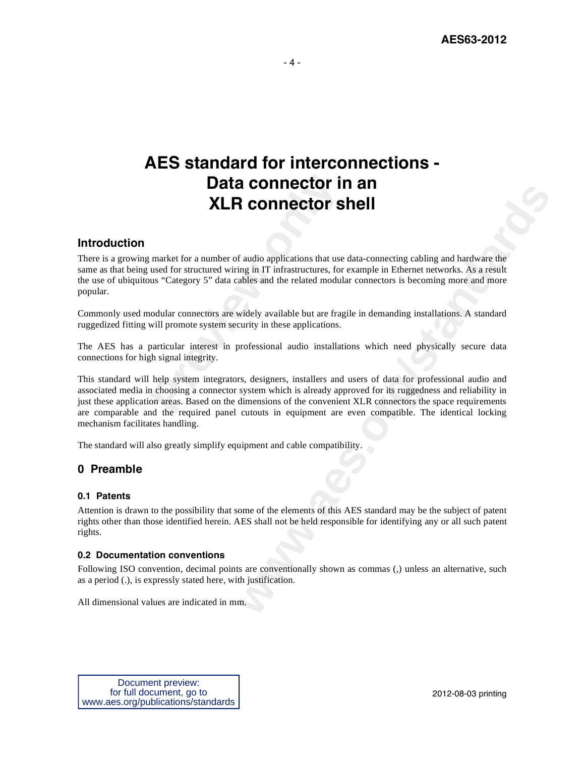# **AES standard for interconnections - Data connector in an XLR connector shell**

# **Introduction**

**Profil Bandary Connector is a set of the set of the set of the set of the set of the set of structured wiring in IT infrastructures, for us "Category 5" data cables and the related modula odular connectors are widely avai** There is a growing market for a number of audio applications that use data-connecting cabling and hardware the same as that being used for structured wiring in IT infrastructures, for example in Ethernet networks. As a result the use of ubiquitous "Category 5" data cables and the related modular connectors is becoming more and more popular.

Commonly used modular connectors are widely available but are fragile in demanding installations. A standard ruggedized fitting will promote system security in these applications.

The AES has a particular interest in professional audio installations which need physically secure data connections for high signal integrity.

**www.aes.org/standards** This standard will help system integrators, designers, installers and users of data for professional audio and associated media in choosing a connector system which is already approved for its ruggedness and reliability in just these application areas. Based on the dimensions of the convenient XLR connectors the space requirements are comparable and the required panel cutouts in equipment are even compatible. The identical locking mechanism facilitates handling.

The standard will also greatly simplify equipment and cable compatibility.

# **0 Preamble**

#### **0.1 Patents**

Attention is drawn to the possibility that some of the elements of this AES standard may be the subject of patent rights other than those identified herein. AES shall not be held responsible for identifying any or all such patent rights.

#### **0.2 Documentation conventions**

Following ISO convention, decimal points are conventionally shown as commas (,) unless an alternative, such as a period (.), is expressly stated here, with justification.

All dimensional values are indicated in mm.